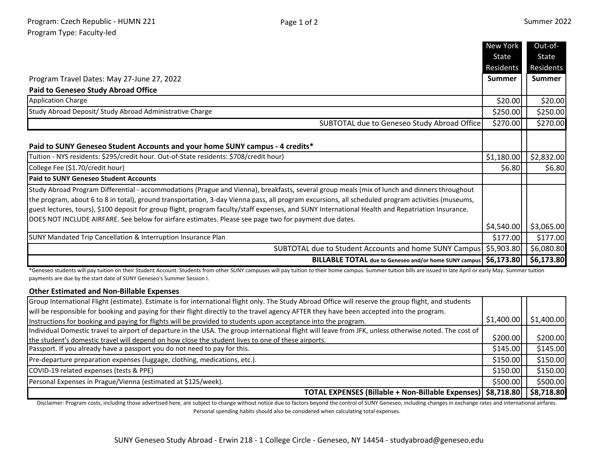|                                                                                                                                                                                                                                                                                                                                                                                                                                                                                                                                                                 | New York      | Out-of-       |
|-----------------------------------------------------------------------------------------------------------------------------------------------------------------------------------------------------------------------------------------------------------------------------------------------------------------------------------------------------------------------------------------------------------------------------------------------------------------------------------------------------------------------------------------------------------------|---------------|---------------|
|                                                                                                                                                                                                                                                                                                                                                                                                                                                                                                                                                                 | State         | State         |
|                                                                                                                                                                                                                                                                                                                                                                                                                                                                                                                                                                 | Residents     | Residents     |
| Program Travel Dates: May 27-June 27, 2022                                                                                                                                                                                                                                                                                                                                                                                                                                                                                                                      | <b>Summer</b> | <b>Summer</b> |
| <b>Paid to Geneseo Study Abroad Office</b>                                                                                                                                                                                                                                                                                                                                                                                                                                                                                                                      |               |               |
| <b>Application Charge</b>                                                                                                                                                                                                                                                                                                                                                                                                                                                                                                                                       | \$20.00       | \$20.00       |
| Study Abroad Deposit/ Study Abroad Administrative Charge                                                                                                                                                                                                                                                                                                                                                                                                                                                                                                        | \$250.00      | \$250.00      |
| SUBTOTAL due to Geneseo Study Abroad Office                                                                                                                                                                                                                                                                                                                                                                                                                                                                                                                     | \$270.00      | \$270.00      |
| Paid to SUNY Geneseo Student Accounts and your home SUNY campus - 4 credits*                                                                                                                                                                                                                                                                                                                                                                                                                                                                                    |               |               |
| Tuition - NYS residents: \$295/credit hour. Out-of-State residents: \$708/credit hour)                                                                                                                                                                                                                                                                                                                                                                                                                                                                          | \$1,180.00    | \$2,832.00    |
| College Fee (\$1.70/credit hour)                                                                                                                                                                                                                                                                                                                                                                                                                                                                                                                                | \$6.80        | \$6.80        |
| <b>Paid to SUNY Geneseo Student Accounts</b>                                                                                                                                                                                                                                                                                                                                                                                                                                                                                                                    |               |               |
| Study Abroad Program Differential - accommodations (Prague and Vienna), breakfasts, several group meals (mix of lunch and dinners throughout<br>the program, about 6 to 8 in total), ground transportation, 3-day Vienna pass, all program excursions, all scheduled program activities (museums,<br>guest lectures, tours), \$100 deposit for group flight, program faculty/staff expenses, and SUNY International Health and Repatriation Insurance.<br>DOES NOT INCLUDE AIRFARE. See below for airfare estimates. Please see page two for payment due dates. |               |               |
|                                                                                                                                                                                                                                                                                                                                                                                                                                                                                                                                                                 | \$4,540.00    | \$3,065.00    |
| SUNY Mandated Trip Cancellation & Interruption Insurance Plan                                                                                                                                                                                                                                                                                                                                                                                                                                                                                                   | \$177.00      | \$177.00      |
| SUBTOTAL due to Student Accounts and home SUNY Campus   \$5,903.80                                                                                                                                                                                                                                                                                                                                                                                                                                                                                              |               | \$6,080.80    |
| BILLABLE TOTAL due to Geneseo and/or home SUNY campus   \$6,173.80                                                                                                                                                                                                                                                                                                                                                                                                                                                                                              |               | \$6,173.80    |

\*Geneseo students will pay tuition on their Student Account. Students from other SUNY campuses will pay tuition to their home campus. Summer tuition bills are issued in late April or early May. Summer tuition payments are due by the start date of SUNY Geneseo's Summer Session I.

## **Other Estimated and Non-Billable Expenses**

| Group International Flight (estimate). Estimate is for international flight only. The Study Abroad Office will reserve the group flight, and students   |            |                   |
|---------------------------------------------------------------------------------------------------------------------------------------------------------|------------|-------------------|
| will be responsible for booking and paying for their flight directly to the travel agency AFTER they have been accepted into the program.               |            |                   |
| Instructions for booking and paying for flights will be provided to students upon acceptance into the program.                                          | \$1,400.00 | $\vert$ 51,400.00 |
| [Individual Domestic travel to airport of departure in the USA. The group international flight will leave from JFK, unless otherwise noted. The cost of |            |                   |
| the student's domestic travel will depend on how close the student lives to one of these airports.                                                      | \$200.00   | \$200.00]         |
| Passport. If you already have a passport you do not need to pay for this.                                                                               | \$145.00   | \$145.00          |
| Pre-departure preparation expenses (luggage, clothing, medications, etc.).                                                                              | \$150.00   | \$150.00          |
| COVID-19 related expenses (tests & PPE)                                                                                                                 | \$150.00   | \$150.00          |
| Personal Expenses in Prague/Vienna (estimated at \$125/week).                                                                                           | \$500.00   | \$500.00          |
| TOTAL EXPENSES (Billable + Non-Billable Expenses)   \$8,718.80     \$8,718.80                                                                           |            |                   |

Disclaimer: Program costs, including those advertised here, are subject to change without notice due to factors beyond the control of SUNY Geneseo, including changes in exchange rates and international airfares. Personal spending habits should also be considered when calculating total expenses.